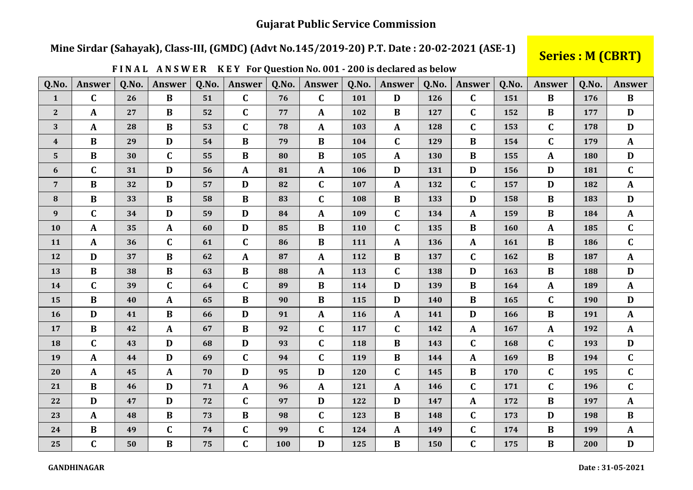### **Gujarat Public Service Commission**

## Mine Sirdar (Sahayak), Class-III, (GMDC) (Advt No.145/2019-20) P.T. Date: 20-02-2021 (ASE-1)

# **Series: M (CBRT)**

| Q.No.            | <b>Answer</b> | Q.No. | <b>Answer</b> | Q.No. | <b>Answer</b> | Q.No. | Answer           | 0.No. | <b>Answer</b> | Q.No. | <b>Answer</b> | Q.No. | <b>Answer</b> | Q.No. | Answer       |
|------------------|---------------|-------|---------------|-------|---------------|-------|------------------|-------|---------------|-------|---------------|-------|---------------|-------|--------------|
| $\mathbf{1}$     | $\mathbf C$   | 26    | $\bf{B}$      | 51    | $\mathbf{C}$  | 76    | $\mathbf C$      | 101   | D             | 126   | $\mathbf C$   | 151   | $\bf{B}$      | 176   | $\bf{B}$     |
| $\mathbf{2}$     | $\mathbf A$   | 27    | $\bf{B}$      | 52    | $\mathbf{C}$  | 77    | A                | 102   | $\bf{B}$      | 127   | $\mathbf C$   | 152   | B             | 177   | D            |
| 3                | $\mathbf{A}$  | 28    | B             | 53    | $\mathbf{C}$  | 78    | A                | 103   | $\mathbf{A}$  | 128   | $\mathbf C$   | 153   | $\mathbf C$   | 178   | D            |
| $\boldsymbol{4}$ | $\bf{B}$      | 29    | D             | 54    | $\bf{B}$      | 79    | $\, {\bf B}$     | 104   | $\mathbf C$   | 129   | $\bf{B}$      | 154   | $\mathbf C$   | 179   | $\mathbf{A}$ |
| $5\phantom{.}$   | $\bf{B}$      | 30    | $\mathbf C$   | 55    | $\bf{B}$      | 80    | B                | 105   | $\mathbf{A}$  | 130   | $\bf{B}$      | 155   | A             | 180   | $\mathbf{D}$ |
| $\boldsymbol{6}$ | $\mathbf C$   | 31    | D             | 56    | $\mathbf{A}$  | 81    | $\boldsymbol{A}$ | 106   | D             | 131   | $\mathbf{D}$  | 156   | $\mathbf{D}$  | 181   | $\mathbf C$  |
| $\overline{7}$   | $\bf{B}$      | 32    | D             | 57    | D             | 82    | $\mathbf C$      | 107   | $\mathbf{A}$  | 132   | $\mathbf C$   | 157   | $\mathbf{D}$  | 182   | $\mathbf{A}$ |
| $\bf{8}$         | $\bf{B}$      | 33    | $\bf{B}$      | 58    | $\bf{B}$      | 83    | $\mathbf C$      | 108   | $\bf{B}$      | 133   | D             | 158   | $\bf{B}$      | 183   | D            |
| $\boldsymbol{9}$ | $\mathbf C$   | 34    | D             | 59    | D             | 84    | A                | 109   | $\mathbf C$   | 134   | $\mathbf{A}$  | 159   | B             | 184   | $\mathbf{A}$ |
| 10               | $\mathbf{A}$  | 35    | $\mathbf{A}$  | 60    | D             | 85    | B                | 110   | $\mathbf C$   | 135   | $\bf{B}$      | 160   | $\mathbf{A}$  | 185   | $\mathbf C$  |
| 11               | $\mathbf{A}$  | 36    | C             | 61    | $\mathbf{C}$  | 86    | $\bf{B}$         | 111   | $\mathbf{A}$  | 136   | $\mathbf{A}$  | 161   | $\bf{B}$      | 186   | $\mathbf C$  |
| 12               | D             | 37    | B             | 62    | $\mathbf{A}$  | 87    | A                | 112   | B             | 137   | $\mathbf C$   | 162   | B             | 187   | $\mathbf{A}$ |
| 13               | $\bf{B}$      | 38    | B             | 63    | $\bf{B}$      | 88    | A                | 113   | $\mathbf C$   | 138   | D             | 163   | $\, {\bf B}$  | 188   | $\mathbf{D}$ |
| 14               | $\mathbf{C}$  | 39    | $\mathbf C$   | 64    | $\mathbf C$   | 89    | B                | 114   | D             | 139   | $\bf{B}$      | 164   | A             | 189   | $\mathbf{A}$ |
| 15               | $\bf{B}$      | 40    | $\mathbf{A}$  | 65    | $\bf{B}$      | 90    | B                | 115   | D             | 140   | $\bf{B}$      | 165   | $\mathbf C$   | 190   | $\mathbf{D}$ |
| 16               | D             | 41    | $\bf{B}$      | 66    | D             | 91    | $\mathbf{A}$     | 116   | $\mathbf{A}$  | 141   | D             | 166   | $\bf{B}$      | 191   | $\mathbf{A}$ |
| 17               | $\bf{B}$      | 42    | $\mathbf{A}$  | 67    | $\bf{B}$      | 92    | $\mathbf C$      | 117   | $\mathbf C$   | 142   | $\mathbf{A}$  | 167   | $\mathbf{A}$  | 192   | $\mathbf{A}$ |
| 18               | $\mathbf C$   | 43    | D             | 68    | D             | 93    | $\mathbf C$      | 118   | B             | 143   | $\mathbf C$   | 168   | $\mathbf C$   | 193   | D            |
| 19               | $\mathbf{A}$  | 44    | D             | 69    | $\mathbf{C}$  | 94    | $\mathbf C$      | 119   | B             | 144   | $\mathbf{A}$  | 169   | $\bf{B}$      | 194   | $\mathbf C$  |
| 20               | $\mathbf{A}$  | 45    | $\mathbf{A}$  | 70    | D             | 95    | D                | 120   | $\mathbf C$   | 145   | $\bf{B}$      | 170   | $\mathbf C$   | 195   | $\mathbf C$  |
| 21               | $\bf{B}$      | 46    | D             | 71    | $\mathbf{A}$  | 96    | $\mathbf{A}$     | 121   | $\mathbf{A}$  | 146   | $\mathbf C$   | 171   | $\mathbf C$   | 196   | $\mathbf{C}$ |
| 22               | $\mathbf{D}$  | 47    | D             | 72    | $\mathbf C$   | 97    | D                | 122   | D             | 147   | $\mathbf{A}$  | 172   | $\bf{B}$      | 197   | $\mathbf{A}$ |
| 23               | $\mathbf{A}$  | 48    | $\bf{B}$      | 73    | $\bf{B}$      | 98    | $\mathbf C$      | 123   | $\bf{B}$      | 148   | $\mathbf C$   | 173   | D             | 198   | $\bf{B}$     |
| 24               | $\bf{B}$      | 49    | $\mathbf C$   | 74    | $\mathbf C$   | 99    | $\mathbf C$      | 124   | $\mathbf{A}$  | 149   | $\mathbf C$   | 174   | $\, {\bf B}$  | 199   | $\mathbf{A}$ |
| 25               | $\mathbf C$   | 50    | $\bf{B}$      | 75    | $\mathbf C$   | 100   | $\mathbf{D}$     | 125   | $\bf{B}$      | 150   | $\mathbf C$   | 175   | $\bf{B}$      | 200   | $\mathbf D$  |

FINAL ANSWER KEY For Question No. 001 - 200 is declared as below